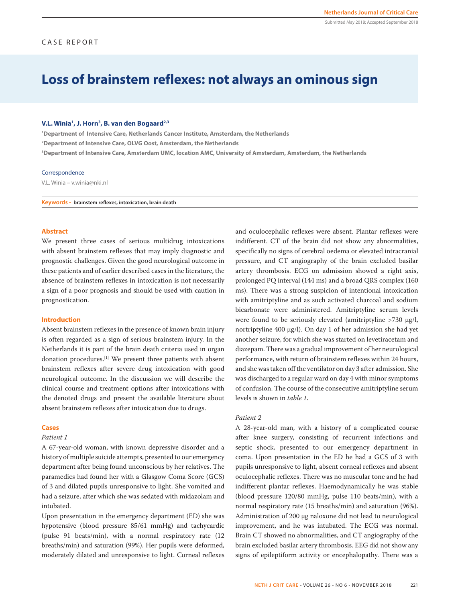# **Loss of brainstem reflexes: not always an ominous sign**

## **V.L. Winia1 , J. Horn3 , B. van den Bogaard2,3**

**1 Department of Intensive Care, Netherlands Cancer Institute, Amsterdam, the Netherlands 2 Department of Intensive Care, OLVG Oost, Amsterdam, the Netherlands 3 Department of Intensive Care, Amsterdam UMC, location AMC, University of Amsterdam, Amsterdam, the Netherlands**

### Correspondence

V.L. Winia – v.winia@nki.nl

**Keywords - brainstem reflexes, intoxication, brain death**

## **Abstract**

We present three cases of serious multidrug intoxications with absent brainstem reflexes that may imply diagnostic and prognostic challenges. Given the good neurological outcome in these patients and of earlier described cases in the literature, the absence of brainstem reflexes in intoxication is not necessarily a sign of a poor prognosis and should be used with caution in prognostication.

# **Introduction**

Absent brainstem reflexes in the presence of known brain injury is often regarded as a sign of serious brainstem injury. In the Netherlands it is part of the brain death criteria used in organ donation procedures.[1] We present three patients with absent brainstem reflexes after severe drug intoxication with good neurological outcome. In the discussion we will describe the clinical course and treatment options after intoxications with the denoted drugs and present the available literature about absent brainstem reflexes after intoxication due to drugs.

# **Cases**

# *Patient 1*

A 67-year-old woman, with known depressive disorder and a history of multiple suicide attempts, presented to our emergency department after being found unconscious by her relatives. The paramedics had found her with a Glasgow Coma Score (GCS) of 3 and dilated pupils unresponsive to light. She vomited and had a seizure, after which she was sedated with midazolam and intubated.

Upon presentation in the emergency department (ED) she was hypotensive (blood pressure 85/61 mmHg) and tachycardic (pulse 91 beats/min), with a normal respiratory rate (12 breaths/min) and saturation (99%). Her pupils were deformed, moderately dilated and unresponsive to light. Corneal reflexes and oculocephalic reflexes were absent. Plantar reflexes were indifferent. CT of the brain did not show any abnormalities, specifically no signs of cerebral oedema or elevated intracranial pressure, and CT angiography of the brain excluded basilar artery thrombosis. ECG on admission showed a right axis, prolonged PQ interval (144 ms) and a broad QRS complex (160 ms). There was a strong suspicion of intentional intoxication with amitriptyline and as such activated charcoal and sodium bicarbonate were administered. Amitriptyline serum levels were found to be seriously elevated (amitriptyline >730 µg/l, nortriptyline 400 µg/l). On day 1 of her admission she had yet another seizure, for which she was started on levetiracetam and diazepam. There was a gradual improvement of her neurological performance, with return of brainstem reflexes within 24 hours, and she was taken off the ventilator on day 3 after admission. She was discharged to a regular ward on day 4 with minor symptoms of confusion. The course of the consecutive amitriptyline serum levels is shown in *table 1*.

## *Patient 2*

A 28-year-old man, with a history of a complicated course after knee surgery, consisting of recurrent infections and septic shock, presented to our emergency department in coma. Upon presentation in the ED he had a GCS of 3 with pupils unresponsive to light, absent corneal reflexes and absent oculocephalic reflexes. There was no muscular tone and he had indifferent plantar reflexes. Haemodynamically he was stable (blood pressure 120/80 mmHg, pulse 110 beats/min), with a normal respiratory rate (15 breaths/min) and saturation (96%). Administration of 200 µg naloxone did not lead to neurological improvement, and he was intubated. The ECG was normal. Brain CT showed no abnormalities, and CT angiography of the brain excluded basilar artery thrombosis. EEG did not show any signs of epileptiform activity or encephalopathy. There was a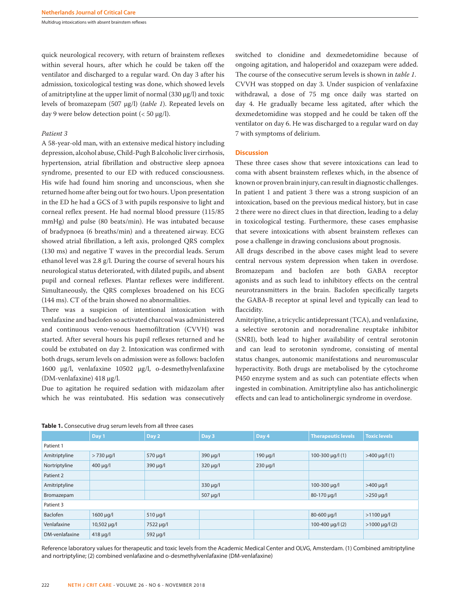Multidrug intoxications with absent brainstem reflexes

quick neurological recovery, with return of brainstem reflexes within several hours, after which he could be taken off the ventilator and discharged to a regular ward. On day 3 after his admission, toxicological testing was done, which showed levels of amitriptyline at the upper limit of normal  $(330 \mu g/l)$  and toxic levels of bromazepam (507 µg/l) (*table 1*). Repeated levels on day 9 were below detection point  $( $50 \mu g/l$ ).$ 

# *Patient 3*

A 58-year-old man, with an extensive medical history including depression, alcohol abuse, Child-Pugh B alcoholic liver cirrhosis, hypertension, atrial fibrillation and obstructive sleep apnoea syndrome, presented to our ED with reduced consciousness. His wife had found him snoring and unconscious, when she returned home after being out for two hours. Upon presentation in the ED he had a GCS of 3 with pupils responsive to light and corneal reflex present. He had normal blood pressure (115/85 mmHg) and pulse (80 beats/min). He was intubated because of bradypnoea (6 breaths/min) and a threatened airway. ECG showed atrial fibrillation, a left axis, prolonged QRS complex (130 ms) and negative T waves in the precordial leads. Serum ethanol level was 2.8 g/l. During the course of several hours his neurological status deteriorated, with dilated pupils, and absent pupil and corneal reflexes. Plantar reflexes were indifferent. Simultaneously, the QRS complexes broadened on his ECG (144 ms). CT of the brain showed no abnormalities.

There was a suspicion of intentional intoxication with venlafaxine and baclofen so activated charcoal was administered and continuous veno-venous haemofiltration (CVVH) was started. After several hours his pupil reflexes returned and he could be extubated on day 2. Intoxication was confirmed with both drugs, serum levels on admission were as follows: baclofen 1600 µg/l, venlafaxine 10502 µg/l, o-desmethylvenlafaxine (DM-venlafaxine) 418 µg/l.

Due to agitation he required sedation with midazolam after which he was reintubated. His sedation was consecutively

switched to clonidine and dexmedetomidine because of ongoing agitation, and haloperidol and oxazepam were added. The course of the consecutive serum levels is shown in *table 1*. CVVH was stopped on day 3. Under suspicion of venlafaxine withdrawal, a dose of 75 mg once daily was started on day 4. He gradually became less agitated, after which the dexmedetomidine was stopped and he could be taken off the ventilator on day 6. He was discharged to a regular ward on day 7 with symptoms of delirium.

#### **Discussion**

These three cases show that severe intoxications can lead to coma with absent brainstem reflexes which, in the absence of known or proven brain injury, can result in diagnostic challenges. In patient 1 and patient 3 there was a strong suspicion of an intoxication, based on the previous medical history, but in case 2 there were no direct clues in that direction, leading to a delay in toxicological testing. Furthermore, these cases emphasise that severe intoxications with absent brainstem reflexes can pose a challenge in drawing conclusions about prognosis.

All drugs described in the above cases might lead to severe central nervous system depression when taken in overdose. Bromazepam and baclofen are both GABA receptor agonists and as such lead to inhibitory effects on the central neurotransmitters in the brain. Baclofen specifically targets the GABA-B receptor at spinal level and typically can lead to flaccidity.

Amitriptyline, a tricyclic antidepressant (TCA), and venlafaxine, a selective serotonin and noradrenaline reuptake inhibitor (SNRI), both lead to higher availability of central serotonin and can lead to serotonin syndrome, consisting of mental status changes, autonomic manifestations and neuromuscular hyperactivity. Both drugs are metabolised by the cytochrome P450 enzyme system and as such can potentiate effects when ingested in combination. Amitriptyline also has anticholinergic effects and can lead to anticholinergic syndrome in overdose.

|                | Day 1           | Day 2         | Day 3         | Day 4         | <b>Therapeutic levels</b> | <b>Toxic levels</b> |  |  |
|----------------|-----------------|---------------|---------------|---------------|---------------------------|---------------------|--|--|
| Patient 1      |                 |               |               |               |                           |                     |  |  |
| Amitriptyline  | $> 730 \mu g/l$ | 570 µg/l      | 390 µg/l      | $190 \mu g/l$ | $100 - 300 \mu q / 1$ (1) | $>400 \mu g/l(1)$   |  |  |
| Nortriptyline  | $400 \mu q/l$   | 390 µg/l      | $320 \mu g/l$ | $230 \mu g/l$ |                           |                     |  |  |
| Patient 2      |                 |               |               |               |                           |                     |  |  |
| Amitriptyline  |                 |               | $330 \mu g/l$ |               | 100-300 µg/l              | $>400 \mu g/l$      |  |  |
| Bromazepam     |                 |               | 507 µg/l      |               | 80-170 µg/l               | $>250 \mu q/l$      |  |  |
| Patient 3      |                 |               |               |               |                           |                     |  |  |
| Baclofen       | $1600 \mu g/l$  | $510 \mu g/l$ |               |               | 80-600 µg/l               | $>1100 \mu q/l$     |  |  |
| Venlafaxine    | 10,502 µg/l     | 7522 µg/l     |               |               | 100-400 $\mu$ g/l (2)     | $>1000 \mu g/l(2)$  |  |  |
| DM-venlafaxine | $418 \mu q/l$   | 592 µg/l      |               |               |                           |                     |  |  |

#### **Table 1.** Consecutive drug serum levels from all three cases

Reference laboratory values for therapeutic and toxic levels from the Academic Medical Center and OLVG, Amsterdam. (1) Combined amitriptyline and nortriptyline; (2) combined venlafaxine and o-desmethylvenlafaxine (DM-venlafaxine)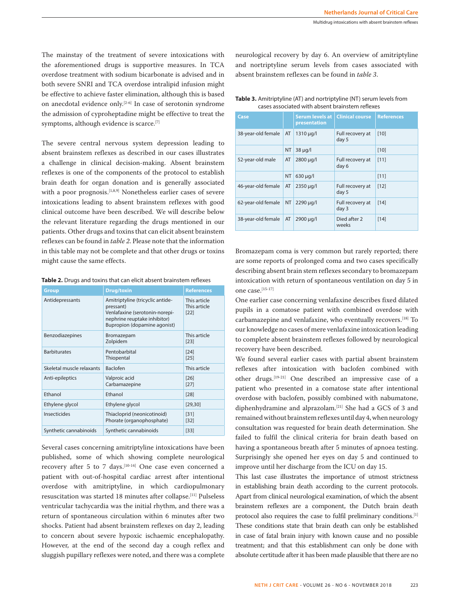The mainstay of the treatment of severe intoxications with the aforementioned drugs is supportive measures. In TCA overdose treatment with sodium bicarbonate is advised and in both severe SNRI and TCA overdose intralipid infusion might be effective to achieve faster elimination, although this is based on anecdotal evidence only.[2-6] In case of serotonin syndrome the admission of cyproheptadine might be effective to treat the symptoms, although evidence is scarce.<sup>[7]</sup>

The severe central nervous system depression leading to absent brainstem reflexes as described in our cases illustrates a challenge in clinical decision-making. Absent brainstem reflexes is one of the components of the protocol to establish brain death for organ donation and is generally associated with a poor prognosis.<sup>[1,8,9]</sup> Nonetheless earlier cases of severe intoxications leading to absent brainstem reflexes with good clinical outcome have been described. We will describe below the relevant literature regarding the drugs mentioned in our patients. Other drugs and toxins that can elicit absent brainstem reflexes can be found in *table 2*. Please note that the information in this table may not be complete and that other drugs or toxins might cause the same effects.

**Table 2.** Drugs and toxins that can elicit absent brainstem reflexes

| <b>Group</b>              | <b>Drug/toxin</b>                                                                                                                               | <b>References</b>                      |
|---------------------------|-------------------------------------------------------------------------------------------------------------------------------------------------|----------------------------------------|
| Antidepressants           | Amitriptyline (tricyclic antide-<br>pressant)<br>Venlafaxine (serotonin-norepi-<br>nephrine reuptake inhibitor)<br>Bupropion (dopamine agonist) | This article<br>This article<br>$[22]$ |
| Benzodiazepines           | Bromazepam<br>Zolpidem                                                                                                                          | This article<br>[23]                   |
| <b>Barbiturates</b>       | Pentobarbital<br>Thiopental                                                                                                                     | $[24]$<br>$[25]$                       |
| Skeletal muscle relaxants | <b>Baclofen</b>                                                                                                                                 | This article                           |
| Anti-epileptics           | Valproic acid<br>Carbamazepine                                                                                                                  | [26]<br>$[27]$                         |
| Ethanol                   | Ethanol                                                                                                                                         | [28]                                   |
| Ethylene glycol           | Ethylene glycol                                                                                                                                 | [29, 30]                               |
| Insecticides              | Thiacloprid (neonicotinoid)<br>Phorate (organophosphate)                                                                                        | [31]<br>$[32]$                         |
| Synthetic cannabinoids    | Synthetic cannabinoids                                                                                                                          | $[33]$                                 |

Several cases concerning amitriptyline intoxications have been published, some of which showing complete neurological recovery after 5 to 7 days.<sup>[10-14]</sup> One case even concerned a patient with out-of-hospital cardiac arrest after intentional overdose with amitriptyline, in which cardiopulmonary resuscitation was started 18 minutes after collapse.[11] Pulseless ventricular tachycardia was the initial rhythm, and there was a return of spontaneous circulation within 6 minutes after two shocks. Patient had absent brainstem reflexes on day 2, leading to concern about severe hypoxic ischaemic encephalopathy. However, at the end of the second day a cough reflex and sluggish pupillary reflexes were noted, and there was a complete neurological recovery by day 6. An overview of amitriptyline and nortriptyline serum levels from cases associated with absent brainstem reflexes can be found in *table 3*.

| <u>LASES ASSULIALEU WILLI AUSELIL DIAILISLEITI IEIIEAES</u> |                    |           |                                        |                           |                   |  |  |
|-------------------------------------------------------------|--------------------|-----------|----------------------------------------|---------------------------|-------------------|--|--|
|                                                             | Case               |           | <b>Serum levels at</b><br>presentation | <b>Clinical course</b>    | <b>References</b> |  |  |
|                                                             | 38-year-old female | AT        | $1310 \mu q/l$                         | Full recovery at<br>day 5 | [10]              |  |  |
|                                                             |                    | <b>NT</b> | $38 \mu q/l$                           |                           | $[10]$            |  |  |
|                                                             | 52-year-old male   | AT        | 2800 µg/l                              | Full recovery at<br>day 6 | $[11]$            |  |  |
|                                                             |                    | <b>NT</b> | $630 \mu q/l$                          |                           | $[11]$            |  |  |
|                                                             | 46-year-old female | AT        | 2350 µg/l                              | Full recovery at<br>day 5 | [12]              |  |  |
|                                                             | 62-year-old female | <b>NT</b> | 2290 ug/l                              | Full recovery at<br>day 3 | [14]              |  |  |
|                                                             | 38-year-old female | AT        | 2900 µg/l                              | Died after 2              | [14]              |  |  |

**Table 3.** Amitriptyline (AT) and nortriptyline (NT) serum levels from cases associated with absent brainstem reflexes

Bromazepam coma is very common but rarely reported; there are some reports of prolonged coma and two cases specifically describing absent brain stem reflexes secondary to bromazepam intoxication with return of spontaneous ventilation on day 5 in one case.[15-17]

weeks

One earlier case concerning venlafaxine describes fixed dilated pupils in a comatose patient with combined overdose with carbamazepine and venlafaxine, who eventually recovers.<sup>[18]</sup> To our knowledge no cases of mere venlafaxine intoxication leading to complete absent brainstem reflexes followed by neurological recovery have been described.

We found several earlier cases with partial absent brainstem reflexes after intoxication with baclofen combined with other drugs.[19-21] One described an impressive case of a patient who presented in a comatose state after intentional overdose with baclofen, possibly combined with nabumatone, diphenhydramine and alprazolam.[21] She had a GCS of 3 and remained without brainstem reflexes until day 4, when neurology consultation was requested for brain death determination. She failed to fulfil the clinical criteria for brain death based on having a spontaneous breath after 5 minutes of apnoea testing. Surprisingly she opened her eyes on day 5 and continued to improve until her discharge from the ICU on day 15.

This last case illustrates the importance of utmost strictness in establishing brain death according to the current protocols. Apart from clinical neurological examination, of which the absent brainstem reflexes are a component, the Dutch brain death protocol also requires the case to fulfil preliminary conditions.[1] These conditions state that brain death can only be established in case of fatal brain injury with known cause and no possible treatment; and that this establishment can only be done with absolute certitude after it has been made plausible that there are no